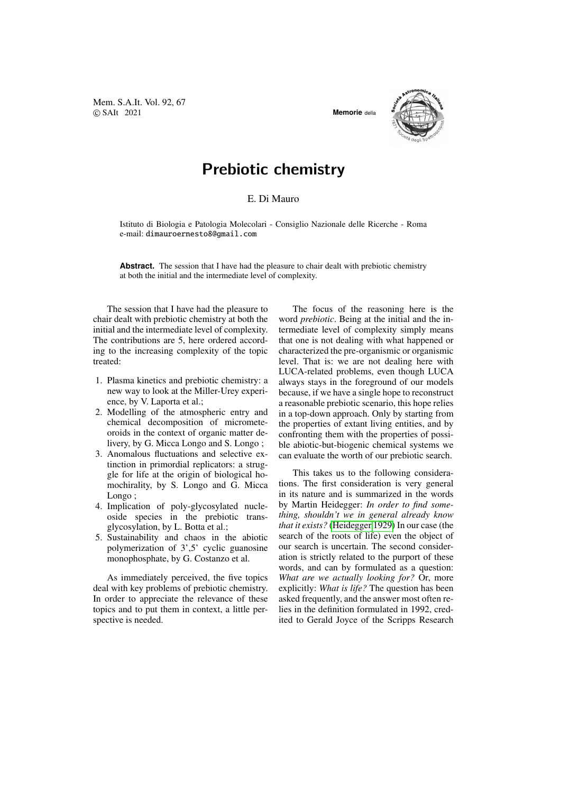Mem. S.A.It. Vol. 92, 67 © SAIt 2021 **Memorie** della



## Prebiotic chemistry

## E. Di Mauro

Istituto di Biologia e Patologia Molecolari - Consiglio Nazionale delle Ricerche - Roma e-mail: dimauroernesto8@gmail.com

**Abstract.** The session that I have had the pleasure to chair dealt with prebiotic chemistry at both the initial and the intermediate level of complexity.

The session that I have had the pleasure to chair dealt with prebiotic chemistry at both the initial and the intermediate level of complexity. The contributions are 5, here ordered according to the increasing complexity of the topic treated:

- 1. Plasma kinetics and prebiotic chemistry: a new way to look at the Miller-Urey experience, by V. Laporta et al.;
- 2. Modelling of the atmospheric entry and chemical decomposition of micrometeoroids in the context of organic matter delivery, by G. Micca Longo and S. Longo ;
- 3. Anomalous fluctuations and selective extinction in primordial replicators: a struggle for life at the origin of biological homochirality, by S. Longo and G. Micca Longo:
- 4. Implication of poly-glycosylated nucleoside species in the prebiotic transglycosylation, by L. Botta et al.;
- 5. Sustainability and chaos in the abiotic polymerization of 3',5' cyclic guanosine monophosphate, by G. Costanzo et al.

As immediately perceived, the five topics deal with key problems of prebiotic chemistry. In order to appreciate the relevance of these topics and to put them in context, a little perspective is needed.

The focus of the reasoning here is the word *prebiotic*. Being at the initial and the intermediate level of complexity simply means that one is not dealing with what happened or characterized the pre-organismic or organismic level. That is: we are not dealing here with LUCA-related problems, even though LUCA always stays in the foreground of our models because, if we have a single hope to reconstruct a reasonable prebiotic scenario, this hope relies in a top-down approach. Only by starting from the properties of extant living entities, and by confronting them with the properties of possible abiotic-but-biogenic chemical systems we can evaluate the worth of our prebiotic search.

This takes us to the following considerations. The first consideration is very general in its nature and is summarized in the words by Martin Heidegger: *In order to find something, shouldn't we in general already know that it exists?* [\(Heidegger 1929\)](#page-2-0) In our case (the search of the roots of life) even the object of our search is uncertain. The second consideration is strictly related to the purport of these words, and can by formulated as a question: *What are we actually looking for?* Or, more explicitly: *What is life?* The question has been asked frequently, and the answer most often relies in the definition formulated in 1992, credited to Gerald Joyce of the Scripps Research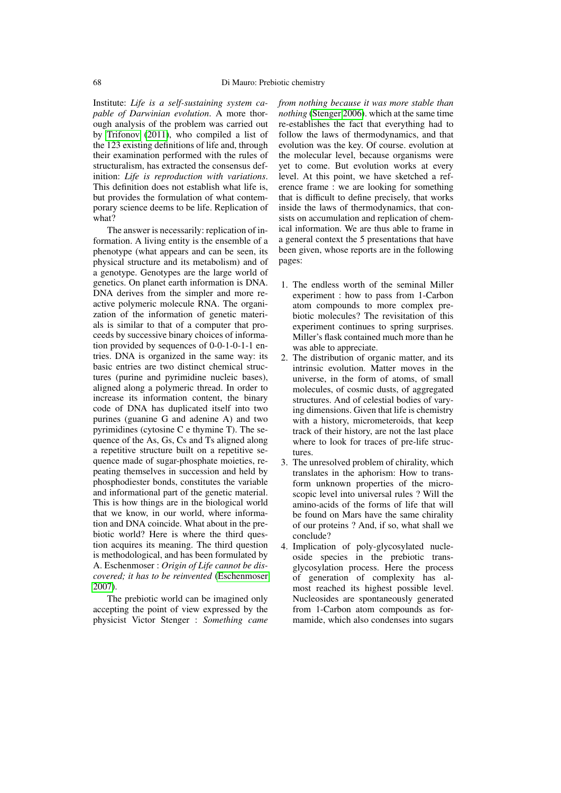Institute: *Life is a self-sustaining system capable of Darwinian evolution*. A more thorough analysis of the problem was carried out by [Trifonov](#page-2-1) [\(2011\)](#page-2-1), who compiled a list of the 123 existing definitions of life and, through their examination performed with the rules of structuralism, has extracted the consensus definition: *Life is reproduction with variations*. This definition does not establish what life is, but provides the formulation of what contemporary science deems to be life. Replication of what?

The answer is necessarily: replication of information. A living entity is the ensemble of a phenotype (what appears and can be seen, its physical structure and its metabolism) and of a genotype. Genotypes are the large world of genetics. On planet earth information is DNA. DNA derives from the simpler and more reactive polymeric molecule RNA. The organization of the information of genetic materials is similar to that of a computer that proceeds by successive binary choices of information provided by sequences of 0-0-1-0-1-1 entries. DNA is organized in the same way: its basic entries are two distinct chemical structures (purine and pyrimidine nucleic bases), aligned along a polymeric thread. In order to increase its information content, the binary code of DNA has duplicated itself into two purines (guanine G and adenine A) and two pyrimidines (cytosine C e thymine T). The sequence of the As, Gs, Cs and Ts aligned along a repetitive structure built on a repetitive sequence made of sugar-phosphate moieties, repeating themselves in succession and held by phosphodiester bonds, constitutes the variable and informational part of the genetic material. This is how things are in the biological world that we know, in our world, where information and DNA coincide. What about in the prebiotic world? Here is where the third question acquires its meaning. The third question is methodological, and has been formulated by A. Eschenmoser : *Origin of Life cannot be discovered; it has to be reinvented* [\(Eschenmoser](#page-2-2) [2007\)](#page-2-2).

The prebiotic world can be imagined only accepting the point of view expressed by the physicist Victor Stenger : *Something came* *from nothing because it was more stable than nothing* [\(Stenger 2006\)](#page-2-3). which at the same time re-establishes the fact that everything had to follow the laws of thermodynamics, and that evolution was the key. Of course. evolution at the molecular level, because organisms were yet to come. But evolution works at every level. At this point, we have sketched a reference frame : we are looking for something that is difficult to define precisely, that works inside the laws of thermodynamics, that consists on accumulation and replication of chemical information. We are thus able to frame in a general context the 5 presentations that have been given, whose reports are in the following pages:

- 1. The endless worth of the seminal Miller experiment : how to pass from 1-Carbon atom compounds to more complex prebiotic molecules? The revisitation of this experiment continues to spring surprises. Miller's flask contained much more than he was able to appreciate.
- 2. The distribution of organic matter, and its intrinsic evolution. Matter moves in the universe, in the form of atoms, of small molecules, of cosmic dusts, of aggregated structures. And of celestial bodies of varying dimensions. Given that life is chemistry with a history, micrometeroids, that keep track of their history, are not the last place where to look for traces of pre-life structures.
- 3. The unresolved problem of chirality, which translates in the aphorism: How to transform unknown properties of the microscopic level into universal rules ? Will the amino-acids of the forms of life that will be found on Mars have the same chirality of our proteins ? And, if so, what shall we conclude?
- 4. Implication of poly-glycosylated nucleoside species in the prebiotic transglycosylation process. Here the process of generation of complexity has almost reached its highest possible level. Nucleosides are spontaneously generated from 1-Carbon atom compounds as formamide, which also condenses into sugars